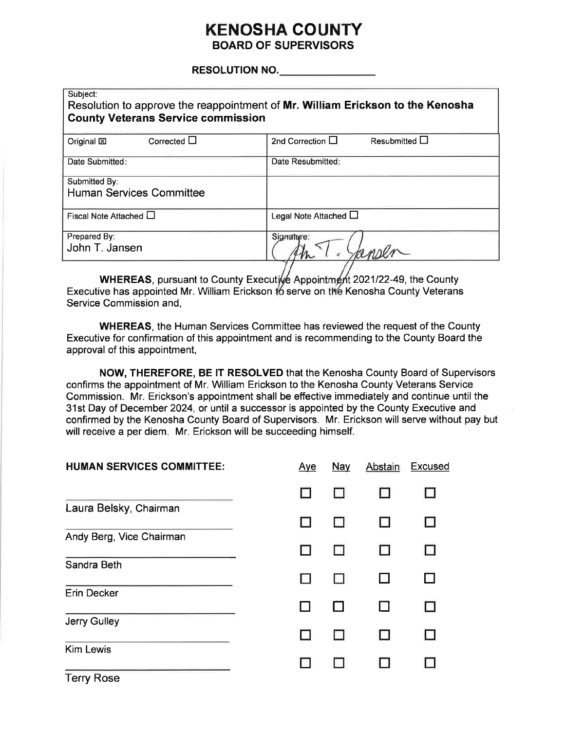# **KENOSHA COUNTY BOARD OF SUPERVISORS**

#### **RESOLUTION NO.** And the state of the state of the state of the state of the state of the state of the state of the state of the state of the state of the state of the state of the state of the state of the state of the st

| Subject:<br><b>County Veterans Service commission</b> | Resolution to approve the reappointment of Mr. William Erickson to the Kenosha |
|-------------------------------------------------------|--------------------------------------------------------------------------------|
| Corrected $\square$<br>Original <sub>[X]</sub>        | Resubmitted $\Box$<br>2nd Correction $\Box$                                    |
| Date Submitted:                                       | Date Resubmitted:                                                              |
| Submitted By:<br><b>Human Services Committee</b>      |                                                                                |
| Fiscal Note Attached $\Box$                           | Legal Note Attached L                                                          |
| Prepared By:<br>John T. Jansen                        | Signature:                                                                     |

WHEREAS, pursuant to County Executive Appointment 2021/22-49, the County Executive has appointed Mr. William Erickson to serve on the Kenosha County Veterans Service Commission and,

**WHEREAS, the Human Services Committee has reviewed the request of the County** Executive for confirmation of this appointment and is recommending to the County Board the approval of this appointment,

NOW, THEREFORE, BE IT RESOLVED that the Kenosha County Board of Supervisors confirms the appointment of Mr. William Erickson to the Kenosha County Veterans Service Commission. Mr. Erickson's appointment shall be effective immediately and continue until the 31st Day of December 2024, or until a successor is appointed by the County Executive and confirmed by the Kenosha County Board of Supervisors. Mr. Erickson will serve without pay but will receive a per diem. Mr. Erickson will be succeeding himself.

| <b>HUMAN SERVICES COMMITTEE:</b> | Aye | Nay | Abstain | <b>Excused</b> |
|----------------------------------|-----|-----|---------|----------------|
|                                  |     |     |         |                |
| Laura Belsky, Chairman           |     |     |         |                |
| Andy Berg, Vice Chairman         |     |     |         |                |
| Sandra Beth                      |     |     |         |                |
| Erin Decker                      |     |     |         |                |
| Jerry Gulley                     |     |     |         |                |
| <b>Kim Lewis</b>                 |     |     |         |                |
| <b>Terry Rose</b>                |     |     |         |                |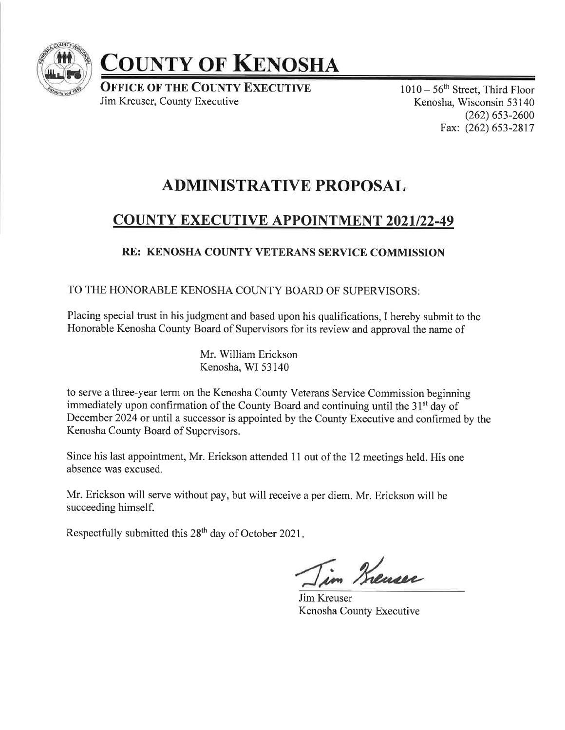

# COUNTY OF KENOSHA

**OFFICE OF THE COUNTY EXECUTIVE** Jim Kreuser, County Executive

 $1010 - 56$ <sup>th</sup> Street, Third Floor Kenosha, Wisconsin 53 140  $(262)$  653-2600 Fax: (262) 653-2817

# ADMINISTRATIVE PROPOSAL

# COUNTY EXECUTIVE APPOINTMENT 2O2I122-49

# RE: KENOSHA COUNTY VETERANS SERVICE COMMISSION

## TO THE HONORABLE KENOSHA COUNTY BOARD OF SUPERVISORS:

Placing special trust in his judgment and based upon his qualifications, I hereby submit to the Honorable Kenosha County Board of Supervisors for its review and approval the name of

> Mr. William Erickson Kenosha, WI 53140

to serve a three-year term on the Kenosha County Veterans Service Commission beginning immediately upon confirmation of the County Board and continuing until the 31<sup>st</sup> day of December 2024 or until a successor is appointed by the County Executive and confirmed by the Kenosha County Board of Supervisors.

Since his last appointment, Mr. Erickson attended 11 out of the 12 meetings held. His one absence was excused.

Mr. Erickson will serve without pay, but will receive a per diem. Mr. Erickson will be succeeding himself.

Respectfully submitted this  $28<sup>th</sup>$  day of October 2021.

in Krenser

Jim Kreuser Kenosha County Executive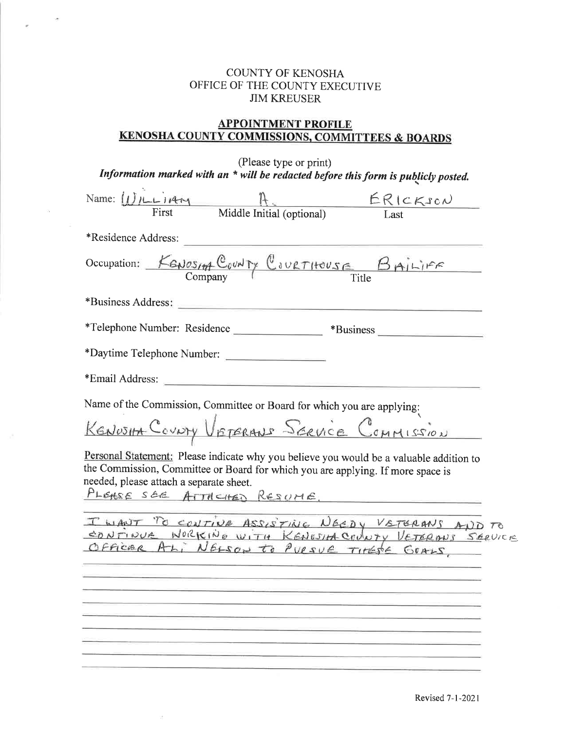#### COUNTY OF KENOSHA OFFICE OF THE COUNTY EXECUTIVE JIM KREUSER

 $\overline{\mathcal{A}}$ 

 $\mathcal{L}_{\mathcal{A}}$ 

## **APPOINTMENT PROFILE** KENOSHA COUNTY COMMISSIONS. COMMITTEES & BOARDS

| (Please type or print)                                                             |  |
|------------------------------------------------------------------------------------|--|
| Information marked with an * will be redacted before this form is publicly posted. |  |

| Name: $U/LLi$                                                                                                                                                                                                                                                                     |                                                            | ERICKSON                                                                                                                                                |
|-----------------------------------------------------------------------------------------------------------------------------------------------------------------------------------------------------------------------------------------------------------------------------------|------------------------------------------------------------|---------------------------------------------------------------------------------------------------------------------------------------------------------|
|                                                                                                                                                                                                                                                                                   | Middle Initial (optional)                                  |                                                                                                                                                         |
| *Residence Address:                                                                                                                                                                                                                                                               |                                                            |                                                                                                                                                         |
|                                                                                                                                                                                                                                                                                   |                                                            | Occupation: KENOSIA COUNTY COURTHOUSE BAILIFF                                                                                                           |
|                                                                                                                                                                                                                                                                                   |                                                            |                                                                                                                                                         |
| *Telephone Number: Residence                                                                                                                                                                                                                                                      |                                                            |                                                                                                                                                         |
| *Daytime Telephone Number:                                                                                                                                                                                                                                                        |                                                            |                                                                                                                                                         |
| *Email Address:                                                                                                                                                                                                                                                                   | <u> 1989 - Jan Barnett, amerikansk politiker (d. 1989)</u> |                                                                                                                                                         |
| Name of the Commission, Committee or Board for which you are applying:<br>KENOSIA COUNTY VETERANS SERVICE COMMISSION<br>the Commission, Committee or Board for which you are applying. If more space is<br>needed, please attach a separate sheet.<br>PLEASE SEE ATTACHED RESUME. |                                                            | Personal Statement: Please indicate why you believe you would be a valuable addition to<br><u> 1980 - Jan Berlin, mars eta biztanleria (h. 1980).</u>   |
|                                                                                                                                                                                                                                                                                   |                                                            | I WANT TO CONTINE ASSISTING NEEDY VETERANS AND TO<br>CONTINUE WORKING WITH KENGSIM COUNTY VETERANS SERVICE<br>Officer AL, NELSON to PURSUE TIMESE GOALS |
|                                                                                                                                                                                                                                                                                   |                                                            |                                                                                                                                                         |
|                                                                                                                                                                                                                                                                                   |                                                            |                                                                                                                                                         |
|                                                                                                                                                                                                                                                                                   |                                                            |                                                                                                                                                         |

 $\mathcal{Q}$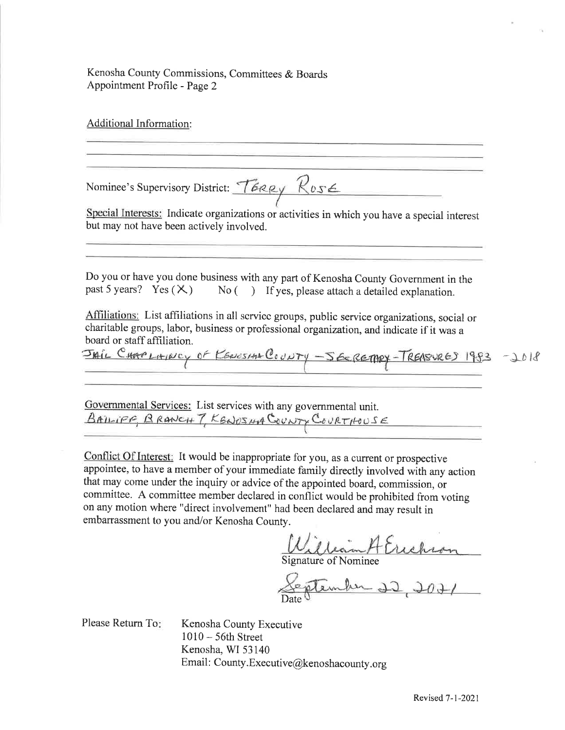Kenosha County Commissions, Committees & Boards Appointment Profile - Page 2

Additional Information: Nominee's Supervisory District: TERRY ROSE Special Interests: Indicate organizations or activities in which you have a special interest but may not have been actively involved. Do you or have you done business with any part of Kenosha County Government in the past 5 years? Yes  $(\times)$  No  $($ ) If yes, please attach a detailed explanation No  $($ ) If yes, please attach a detailed explanation. Affiliations: List affiliations in all scrvicc groups, public service organizations, social or charitable groups, labor, business or professional organization, and indicate if it was a board or staff affiliation. JAIL CHAPLAINCY OF KENOSIAN COUNTY - SECRETARY-TREASURED 1983 - 2018 Governmental Services: List services with any governmental unit. BAILIPE, BRANCH 7, KENOSUA GOUNTY COURTHOUSE

Conflict Of Interest: It would be inappropriate for you, as a current or prospective appointee, to have a member of your immediate family directly involved with any action that may come under the inquiry or advice of the appointed board, commission, or committee. A committee member declared in conflict would be prohibited from voting on any motion where "direct involvement" had been declared and may result in embarrassment to you and/or Kenosha County.

Signature of Nominee

Date

Please Return To

Kenosha County Executive <sup>1010</sup>- 56th Street Kenosha, WI 53140 Email: County.Executive@kenoshacounty.org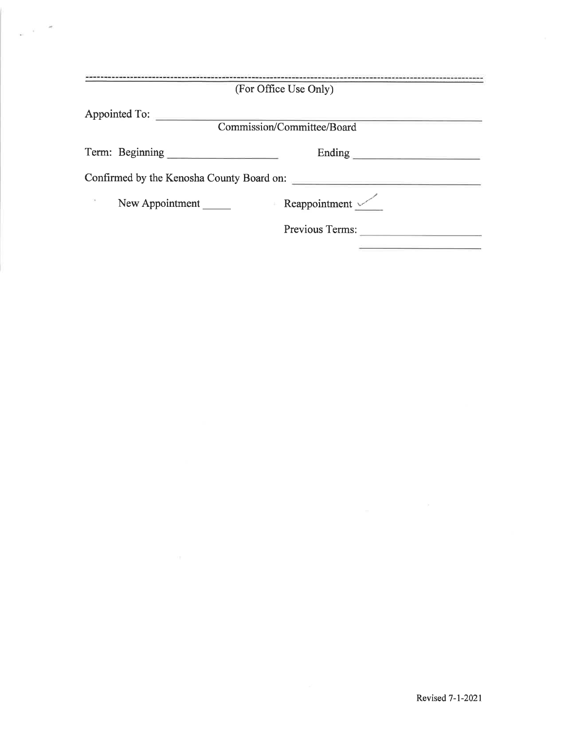|                 | (For Office Use Only)                     |
|-----------------|-------------------------------------------|
| Appointed To:   | Commission/Committee/Board                |
| Term: Beginning | Ending                                    |
|                 | Confirmed by the Kenosha County Board on: |
| New Appointment | Reappointment $\sim$                      |
|                 | Previous Terms:                           |

a villa